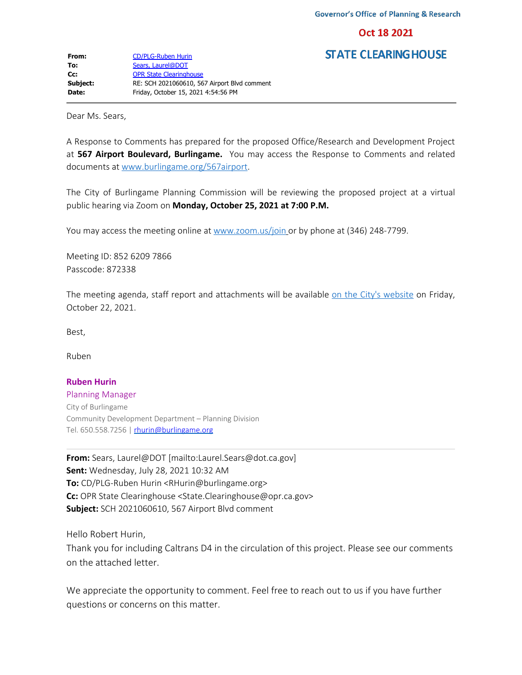Oct 18 2021

**STATE CLEARING HOUSE** 

Dear Ms. Sears,

A Response to Comments has prepared for the proposed Office/Research and Development Project at **567 Airport Boulevard, Burlingame.** You may access the Response to Comments and related documents at [www.burlingame.org/567airport](http://www.burlingame.org/567airport).

The City of Burlingame Planning Commission will be reviewing the proposed project at a virtual public hearing via Zoom on **Monday, October 25, 2021 at 7:00 P.M.**

You may access the meeting online at [www.zoom.us/join](http://www.zoom.us/join) or by phone at (346) 248-7799.

Meeting ID: 852 6209 7866 Passcode: 872338

The meeting agenda, staff report and attachments will be available [on the City's website](https://www.burlingame.org/departments/planning/meeting_agendas_minutes_and_videos.php) on Friday, October 22, 2021.

Best,

Ruben

## **Ruben Hurin**

Planning Manager City of Burlingame Community Development Department – Planning Division Tel. 650.558.7256 | [rhurin@burlingame.org](mailto:rhurin@burlingame.org)

**From:** Sears, Laurel@DOT [mailto:Laurel.Sears@dot.ca.gov] **Sent:** Wednesday, July 28, 2021 10:32 AM **To:** CD/PLG-Ruben Hurin <RHurin@burlingame.org> **Cc:** OPR State Clearinghouse <State.Clearinghouse@opr.ca.gov> **Subject:** SCH 2021060610, 567 Airport Blvd comment

Hello Robert Hurin,

Thank you for including Caltrans D4 in the circulation of this project. Please see our comments on the attached letter.

We appreciate the opportunity to comment. Feel free to reach out to us if you have further questions or concerns on this matter.